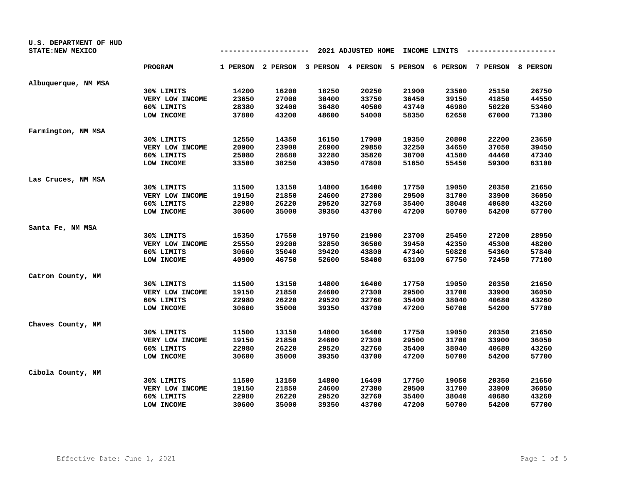| U.S. DEPARTMENT OF HUD<br><b>STATE: NEW MEXICO</b> |                 |       |                   |                   | 2021 ADJUSTED HOME |                            | INCOME LIMITS |       |          |
|----------------------------------------------------|-----------------|-------|-------------------|-------------------|--------------------|----------------------------|---------------|-------|----------|
|                                                    | <b>PROGRAM</b>  |       | 1 PERSON 2 PERSON | 3 PERSON 4 PERSON |                    | 5 PERSON 6 PERSON 7 PERSON |               |       | 8 PERSON |
| Albuquerque, NM MSA                                |                 |       |                   |                   |                    |                            |               |       |          |
|                                                    | 30% LIMITS      | 14200 | 16200             | 18250             | 20250              | 21900                      | 23500         | 25150 | 26750    |
|                                                    | VERY LOW INCOME | 23650 | 27000             | 30400             | 33750              | 36450                      | 39150         | 41850 | 44550    |
|                                                    | 60% LIMITS      | 28380 | 32400             | 36480             | 40500              | 43740                      | 46980         | 50220 | 53460    |
|                                                    | LOW INCOME      | 37800 | 43200             | 48600             | 54000              | 58350                      | 62650         | 67000 | 71300    |
| Farmington, NM MSA                                 |                 |       |                   |                   |                    |                            |               |       |          |
|                                                    | 30% LIMITS      | 12550 | 14350             | 16150             | 17900              | 19350                      | 20800         | 22200 | 23650    |
|                                                    | VERY LOW INCOME | 20900 | 23900             | 26900             | 29850              | 32250                      | 34650         | 37050 | 39450    |
|                                                    | 60% LIMITS      | 25080 | 28680             | 32280             | 35820              | 38700                      | 41580         | 44460 | 47340    |
|                                                    | LOW INCOME      | 33500 | 38250             | 43050             | 47800              | 51650                      | 55450         | 59300 | 63100    |
| Las Cruces, NM MSA                                 |                 |       |                   |                   |                    |                            |               |       |          |
|                                                    | 30% LIMITS      | 11500 | 13150             | 14800             | 16400              | 17750                      | 19050         | 20350 | 21650    |
|                                                    | VERY LOW INCOME | 19150 | 21850             | 24600             | 27300              | 29500                      | 31700         | 33900 | 36050    |
|                                                    | 60% LIMITS      | 22980 | 26220             | 29520             | 32760              | 35400                      | 38040         | 40680 | 43260    |
|                                                    | LOW INCOME      | 30600 | 35000             | 39350             | 43700              | 47200                      | 50700         | 54200 | 57700    |
| Santa Fe, NM MSA                                   |                 |       |                   |                   |                    |                            |               |       |          |
|                                                    | 30% LIMITS      | 15350 | 17550             | 19750             | 21900              | 23700                      | 25450         | 27200 | 28950    |
|                                                    | VERY LOW INCOME | 25550 | 29200             | 32850             | 36500              | 39450                      | 42350         | 45300 | 48200    |
|                                                    | 60% LIMITS      | 30660 | 35040             | 39420             | 43800              | 47340                      | 50820         | 54360 | 57840    |
|                                                    | LOW INCOME      | 40900 | 46750             | 52600             | 58400              | 63100                      | 67750         | 72450 | 77100    |
| Catron County, NM                                  |                 |       |                   |                   |                    |                            |               |       |          |
|                                                    | 30% LIMITS      | 11500 | 13150             | 14800             | 16400              | 17750                      | 19050         | 20350 | 21650    |
|                                                    | VERY LOW INCOME | 19150 | 21850             | 24600             | 27300              | 29500                      | 31700         | 33900 | 36050    |
|                                                    | 60% LIMITS      | 22980 | 26220             | 29520             | 32760              | 35400                      | 38040         | 40680 | 43260    |
|                                                    | LOW INCOME      | 30600 | 35000             | 39350             | 43700              | 47200                      | 50700         | 54200 | 57700    |
| Chaves County, NM                                  |                 |       |                   |                   |                    |                            |               |       |          |
|                                                    | 30% LIMITS      | 11500 | 13150             | 14800             | 16400              | 17750                      | 19050         | 20350 | 21650    |
|                                                    | VERY LOW INCOME | 19150 | 21850             | 24600             | 27300              | 29500                      | 31700         | 33900 | 36050    |
|                                                    | 60% LIMITS      | 22980 | 26220             | 29520             | 32760              | 35400                      | 38040         | 40680 | 43260    |
|                                                    | LOW INCOME      | 30600 | 35000             | 39350             | 43700              | 47200                      | 50700         | 54200 | 57700    |
| Cibola County, NM                                  |                 |       |                   |                   |                    |                            |               |       |          |
|                                                    | 30% LIMITS      | 11500 | 13150             | 14800             | 16400              | 17750                      | 19050         | 20350 | 21650    |
|                                                    | VERY LOW INCOME | 19150 | 21850             | 24600             | 27300              | 29500                      | 31700         | 33900 | 36050    |
|                                                    | 60% LIMITS      | 22980 | 26220             | 29520             | 32760              | 35400                      | 38040         | 40680 | 43260    |
|                                                    | LOW INCOME      | 30600 | 35000             | 39350             | 43700              | 47200                      | 50700         | 54200 | 57700    |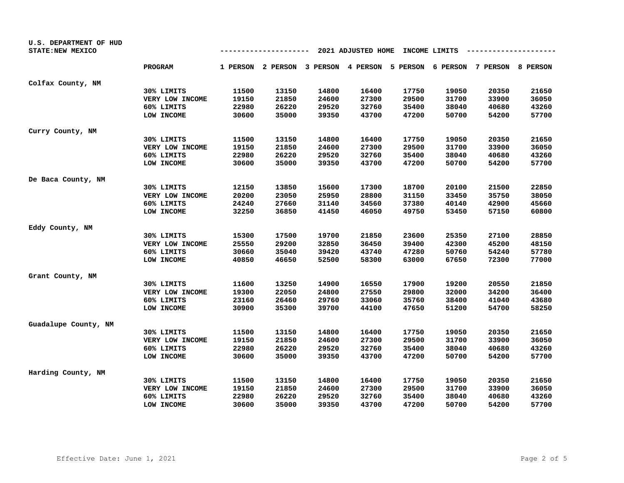| U.S. DEPARTMENT OF HUD<br><b>STATE: NEW MEXICO</b> |                 |       |       |       | 2021 ADJUSTED HOME |       | INCOME LIMITS |                                                                         |       |
|----------------------------------------------------|-----------------|-------|-------|-------|--------------------|-------|---------------|-------------------------------------------------------------------------|-------|
|                                                    | <b>PROGRAM</b>  |       |       |       |                    |       |               | 1 PERSON 2 PERSON 3 PERSON 4 PERSON 5 PERSON 6 PERSON 7 PERSON 8 PERSON |       |
| Colfax County, NM                                  |                 |       |       |       |                    |       |               |                                                                         |       |
|                                                    | 30% LIMITS      | 11500 | 13150 | 14800 | 16400              | 17750 | 19050         | 20350                                                                   | 21650 |
|                                                    | VERY LOW INCOME | 19150 | 21850 | 24600 | 27300              | 29500 | 31700         | 33900                                                                   | 36050 |
|                                                    | 60% LIMITS      | 22980 | 26220 | 29520 | 32760              | 35400 | 38040         | 40680                                                                   | 43260 |
|                                                    | LOW INCOME      | 30600 | 35000 | 39350 | 43700              | 47200 | 50700         | 54200                                                                   | 57700 |
| Curry County, NM                                   |                 |       |       |       |                    |       |               |                                                                         |       |
|                                                    | 30% LIMITS      | 11500 | 13150 | 14800 | 16400              | 17750 | 19050         | 20350                                                                   | 21650 |
|                                                    | VERY LOW INCOME | 19150 | 21850 | 24600 | 27300              | 29500 | 31700         | 33900                                                                   | 36050 |
|                                                    | 60% LIMITS      | 22980 | 26220 | 29520 | 32760              | 35400 | 38040         | 40680                                                                   | 43260 |
|                                                    | LOW INCOME      | 30600 | 35000 | 39350 | 43700              | 47200 | 50700         | 54200                                                                   | 57700 |
| De Baca County, NM                                 |                 |       |       |       |                    |       |               |                                                                         |       |
|                                                    | 30% LIMITS      | 12150 | 13850 | 15600 | 17300              | 18700 | 20100         | 21500                                                                   | 22850 |
|                                                    | VERY LOW INCOME | 20200 | 23050 | 25950 | 28800              | 31150 | 33450         | 35750                                                                   | 38050 |
|                                                    | 60% LIMITS      | 24240 | 27660 | 31140 | 34560              | 37380 | 40140         | 42900                                                                   | 45660 |
|                                                    | LOW INCOME      | 32250 | 36850 | 41450 | 46050              | 49750 | 53450         | 57150                                                                   | 60800 |
| Eddy County, NM                                    |                 |       |       |       |                    |       |               |                                                                         |       |
|                                                    | 30% LIMITS      | 15300 | 17500 | 19700 | 21850              | 23600 | 25350         | 27100                                                                   | 28850 |
|                                                    | VERY LOW INCOME | 25550 | 29200 | 32850 | 36450              | 39400 | 42300         | 45200                                                                   | 48150 |
|                                                    | 60% LIMITS      | 30660 | 35040 | 39420 | 43740              | 47280 | 50760         | 54240                                                                   | 57780 |
|                                                    | LOW INCOME      | 40850 | 46650 | 52500 | 58300              | 63000 | 67650         | 72300                                                                   | 77000 |
| Grant County, NM                                   |                 |       |       |       |                    |       |               |                                                                         |       |
|                                                    | 30% LIMITS      | 11600 | 13250 | 14900 | 16550              | 17900 | 19200         | 20550                                                                   | 21850 |
|                                                    | VERY LOW INCOME | 19300 | 22050 | 24800 | 27550              | 29800 | 32000         | 34200                                                                   | 36400 |
|                                                    | 60% LIMITS      | 23160 | 26460 | 29760 | 33060              | 35760 | 38400         | 41040                                                                   | 43680 |
|                                                    | LOW INCOME      | 30900 | 35300 | 39700 | 44100              | 47650 | 51200         | 54700                                                                   | 58250 |
| Guadalupe County, NM                               |                 |       |       |       |                    |       |               |                                                                         |       |
|                                                    | 30% LIMITS      | 11500 | 13150 | 14800 | 16400              | 17750 | 19050         | 20350                                                                   | 21650 |
|                                                    | VERY LOW INCOME | 19150 | 21850 | 24600 | 27300              | 29500 | 31700         | 33900                                                                   | 36050 |
|                                                    | 60% LIMITS      | 22980 | 26220 | 29520 | 32760              | 35400 | 38040         | 40680                                                                   | 43260 |
|                                                    | LOW INCOME      | 30600 | 35000 | 39350 | 43700              | 47200 | 50700         | 54200                                                                   | 57700 |
| Harding County, NM                                 |                 |       |       |       |                    |       |               |                                                                         |       |
|                                                    | 30% LIMITS      | 11500 | 13150 | 14800 | 16400              | 17750 | 19050         | 20350                                                                   | 21650 |
|                                                    | VERY LOW INCOME | 19150 | 21850 | 24600 | 27300              | 29500 | 31700         | 33900                                                                   | 36050 |
|                                                    | 60% LIMITS      | 22980 | 26220 | 29520 | 32760              | 35400 | 38040         | 40680                                                                   | 43260 |
|                                                    | LOW INCOME      | 30600 | 35000 | 39350 | 43700              | 47200 | 50700         | 54200                                                                   | 57700 |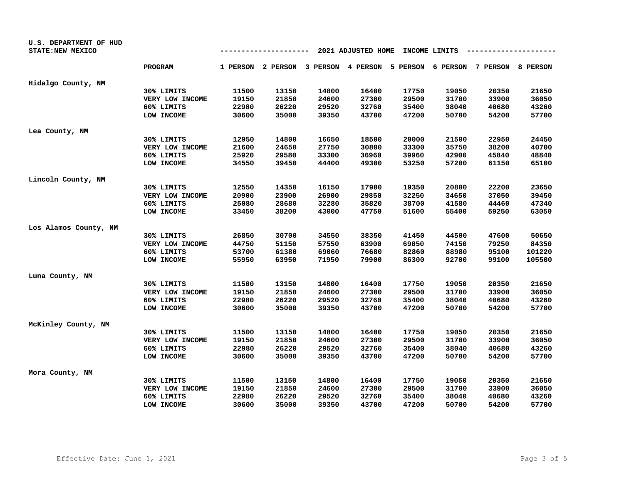| U.S. DEPARTMENT OF HUD<br>STATE: NEW MEXICO |                 |       |       | --                                                                      | 2021 ADJUSTED HOME |       | INCOME LIMITS |       |        |
|---------------------------------------------|-----------------|-------|-------|-------------------------------------------------------------------------|--------------------|-------|---------------|-------|--------|
|                                             | <b>PROGRAM</b>  |       |       | 1 PERSON 2 PERSON 3 PERSON 4 PERSON 5 PERSON 6 PERSON 7 PERSON 8 PERSON |                    |       |               |       |        |
| Hidalgo County, NM                          |                 |       |       |                                                                         |                    |       |               |       |        |
|                                             | 30% LIMITS      | 11500 | 13150 | 14800                                                                   | 16400              | 17750 | 19050         | 20350 | 21650  |
|                                             | VERY LOW INCOME | 19150 | 21850 | 24600                                                                   | 27300              | 29500 | 31700         | 33900 | 36050  |
|                                             | 60% LIMITS      | 22980 | 26220 | 29520                                                                   | 32760              | 35400 | 38040         | 40680 | 43260  |
|                                             | LOW INCOME      | 30600 | 35000 | 39350                                                                   | 43700              | 47200 | 50700         | 54200 | 57700  |
| Lea County, NM                              |                 |       |       |                                                                         |                    |       |               |       |        |
|                                             | 30% LIMITS      | 12950 | 14800 | 16650                                                                   | 18500              | 20000 | 21500         | 22950 | 24450  |
|                                             | VERY LOW INCOME | 21600 | 24650 | 27750                                                                   | 30800              | 33300 | 35750         | 38200 | 40700  |
|                                             | 60% LIMITS      | 25920 | 29580 | 33300                                                                   | 36960              | 39960 | 42900         | 45840 | 48840  |
|                                             | LOW INCOME      | 34550 | 39450 | 44400                                                                   | 49300              | 53250 | 57200         | 61150 | 65100  |
| Lincoln County, NM                          |                 |       |       |                                                                         |                    |       |               |       |        |
|                                             | 30% LIMITS      | 12550 | 14350 | 16150                                                                   | 17900              | 19350 | 20800         | 22200 | 23650  |
|                                             | VERY LOW INCOME | 20900 | 23900 | 26900                                                                   | 29850              | 32250 | 34650         | 37050 | 39450  |
|                                             | 60% LIMITS      | 25080 | 28680 | 32280                                                                   | 35820              | 38700 | 41580         | 44460 | 47340  |
|                                             | LOW INCOME      | 33450 | 38200 | 43000                                                                   | 47750              | 51600 | 55400         | 59250 | 63050  |
| Los Alamos County, NM                       |                 |       |       |                                                                         |                    |       |               |       |        |
|                                             | 30% LIMITS      | 26850 | 30700 | 34550                                                                   | 38350              | 41450 | 44500         | 47600 | 50650  |
|                                             | VERY LOW INCOME | 44750 | 51150 | 57550                                                                   | 63900              | 69050 | 74150         | 79250 | 84350  |
|                                             | 60% LIMITS      | 53700 | 61380 | 69060                                                                   | 76680              | 82860 | 88980         | 95100 | 101220 |
|                                             | LOW INCOME      | 55950 | 63950 | 71950                                                                   | 79900              | 86300 | 92700         | 99100 | 105500 |
| Luna County, NM                             |                 |       |       |                                                                         |                    |       |               |       |        |
|                                             | 30% LIMITS      | 11500 | 13150 | 14800                                                                   | 16400              | 17750 | 19050         | 20350 | 21650  |
|                                             | VERY LOW INCOME | 19150 | 21850 | 24600                                                                   | 27300              | 29500 | 31700         | 33900 | 36050  |
|                                             | 60% LIMITS      | 22980 | 26220 | 29520                                                                   | 32760              | 35400 | 38040         | 40680 | 43260  |
|                                             | LOW INCOME      | 30600 | 35000 | 39350                                                                   | 43700              | 47200 | 50700         | 54200 | 57700  |
| McKinley County, NM                         |                 |       |       |                                                                         |                    |       |               |       |        |
|                                             | 30% LIMITS      | 11500 | 13150 | 14800                                                                   | 16400              | 17750 | 19050         | 20350 | 21650  |
|                                             | VERY LOW INCOME | 19150 | 21850 | 24600                                                                   | 27300              | 29500 | 31700         | 33900 | 36050  |
|                                             | 60% LIMITS      | 22980 | 26220 | 29520                                                                   | 32760              | 35400 | 38040         | 40680 | 43260  |
|                                             | LOW INCOME      | 30600 | 35000 | 39350                                                                   | 43700              | 47200 | 50700         | 54200 | 57700  |
| Mora County, NM                             |                 |       |       |                                                                         |                    |       |               |       |        |
|                                             | 30% LIMITS      | 11500 | 13150 | 14800                                                                   | 16400              | 17750 | 19050         | 20350 | 21650  |
|                                             | VERY LOW INCOME | 19150 | 21850 | 24600                                                                   | 27300              | 29500 | 31700         | 33900 | 36050  |
|                                             | 60% LIMITS      | 22980 | 26220 | 29520                                                                   | 32760              | 35400 | 38040         | 40680 | 43260  |
|                                             | LOW INCOME      | 30600 | 35000 | 39350                                                                   | 43700              | 47200 | 50700         | 54200 | 57700  |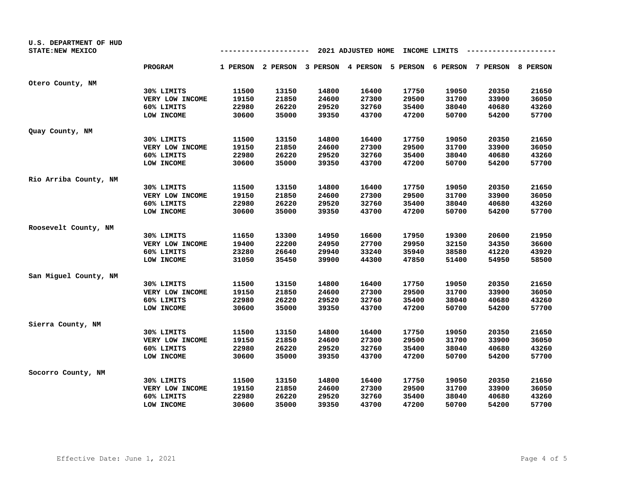| U.S. DEPARTMENT OF HUD<br><b>STATE: NEW MEXICO</b> |                 |       | ------- |       | 2021 ADJUSTED HOME |       | INCOME LIMITS |                                                                         |       |
|----------------------------------------------------|-----------------|-------|---------|-------|--------------------|-------|---------------|-------------------------------------------------------------------------|-------|
|                                                    | <b>PROGRAM</b>  |       |         |       |                    |       |               | 1 PERSON 2 PERSON 3 PERSON 4 PERSON 5 PERSON 6 PERSON 7 PERSON 8 PERSON |       |
| Otero County, NM                                   |                 |       |         |       |                    |       |               |                                                                         |       |
|                                                    | 30% LIMITS      | 11500 | 13150   | 14800 | 16400              | 17750 | 19050         | 20350                                                                   | 21650 |
|                                                    | VERY LOW INCOME | 19150 | 21850   | 24600 | 27300              | 29500 | 31700         | 33900                                                                   | 36050 |
|                                                    | 60% LIMITS      | 22980 | 26220   | 29520 | 32760              | 35400 | 38040         | 40680                                                                   | 43260 |
|                                                    | LOW INCOME      | 30600 | 35000   | 39350 | 43700              | 47200 | 50700         | 54200                                                                   | 57700 |
| Quay County, NM                                    |                 |       |         |       |                    |       |               |                                                                         |       |
|                                                    | 30% LIMITS      | 11500 | 13150   | 14800 | 16400              | 17750 | 19050         | 20350                                                                   | 21650 |
|                                                    | VERY LOW INCOME | 19150 | 21850   | 24600 | 27300              | 29500 | 31700         | 33900                                                                   | 36050 |
|                                                    | 60% LIMITS      | 22980 | 26220   | 29520 | 32760              | 35400 | 38040         | 40680                                                                   | 43260 |
|                                                    | LOW INCOME      | 30600 | 35000   | 39350 | 43700              | 47200 | 50700         | 54200                                                                   | 57700 |
| Rio Arriba County, NM                              |                 |       |         |       |                    |       |               |                                                                         |       |
|                                                    | 30% LIMITS      | 11500 | 13150   | 14800 | 16400              | 17750 | 19050         | 20350                                                                   | 21650 |
|                                                    | VERY LOW INCOME | 19150 | 21850   | 24600 | 27300              | 29500 | 31700         | 33900                                                                   | 36050 |
|                                                    | 60% LIMITS      | 22980 | 26220   | 29520 | 32760              | 35400 | 38040         | 40680                                                                   | 43260 |
|                                                    | LOW INCOME      | 30600 | 35000   | 39350 | 43700              | 47200 | 50700         | 54200                                                                   | 57700 |
| Roosevelt County, NM                               |                 |       |         |       |                    |       |               |                                                                         |       |
|                                                    | 30% LIMITS      | 11650 | 13300   | 14950 | 16600              | 17950 | 19300         | 20600                                                                   | 21950 |
|                                                    | VERY LOW INCOME | 19400 | 22200   | 24950 | 27700              | 29950 | 32150         | 34350                                                                   | 36600 |
|                                                    | 60% LIMITS      | 23280 | 26640   | 29940 | 33240              | 35940 | 38580         | 41220                                                                   | 43920 |
|                                                    | LOW INCOME      | 31050 | 35450   | 39900 | 44300              | 47850 | 51400         | 54950                                                                   | 58500 |
| San Miguel County, NM                              |                 |       |         |       |                    |       |               |                                                                         |       |
|                                                    | 30% LIMITS      | 11500 | 13150   | 14800 | 16400              | 17750 | 19050         | 20350                                                                   | 21650 |
|                                                    | VERY LOW INCOME | 19150 | 21850   | 24600 | 27300              | 29500 | 31700         | 33900                                                                   | 36050 |
|                                                    | 60% LIMITS      | 22980 | 26220   | 29520 | 32760              | 35400 | 38040         | 40680                                                                   | 43260 |
|                                                    | LOW INCOME      | 30600 | 35000   | 39350 | 43700              | 47200 | 50700         | 54200                                                                   | 57700 |
| Sierra County, NM                                  |                 |       |         |       |                    |       |               |                                                                         |       |
|                                                    | 30% LIMITS      | 11500 | 13150   | 14800 | 16400              | 17750 | 19050         | 20350                                                                   | 21650 |
|                                                    | VERY LOW INCOME | 19150 | 21850   | 24600 | 27300              | 29500 | 31700         | 33900                                                                   | 36050 |
|                                                    | 60% LIMITS      | 22980 | 26220   | 29520 | 32760              | 35400 | 38040         | 40680                                                                   | 43260 |
|                                                    | LOW INCOME      | 30600 | 35000   | 39350 | 43700              | 47200 | 50700         | 54200                                                                   | 57700 |
| Socorro County, NM                                 |                 |       |         |       |                    |       |               |                                                                         |       |
|                                                    | 30% LIMITS      | 11500 | 13150   | 14800 | 16400              | 17750 | 19050         | 20350                                                                   | 21650 |
|                                                    | VERY LOW INCOME | 19150 | 21850   | 24600 | 27300              | 29500 | 31700         | 33900                                                                   | 36050 |
|                                                    | 60% LIMITS      | 22980 | 26220   | 29520 | 32760              | 35400 | 38040         | 40680                                                                   | 43260 |
|                                                    | LOW INCOME      | 30600 | 35000   | 39350 | 43700              | 47200 | 50700         | 54200                                                                   | 57700 |